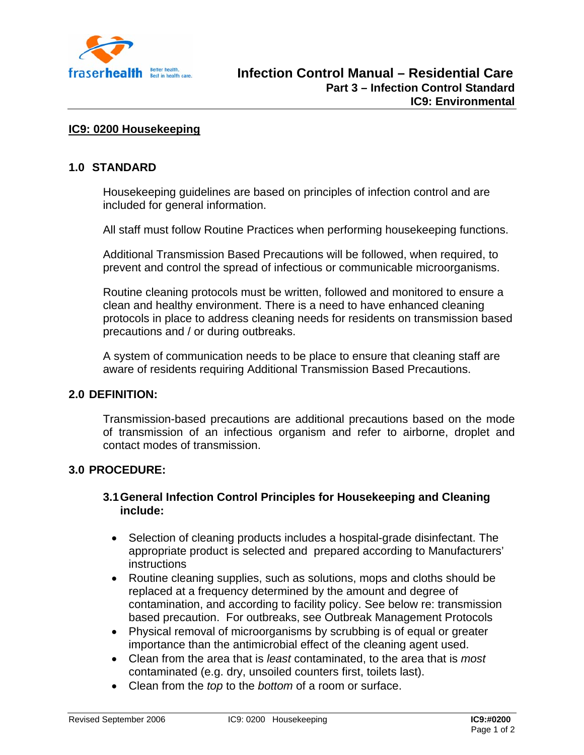

## **IC9: 0200 Housekeeping**

#### **1.0 STANDARD**

Housekeeping guidelines are based on principles of infection control and are included for general information.

All staff must follow Routine Practices when performing housekeeping functions.

Additional Transmission Based Precautions will be followed, when required, to prevent and control the spread of infectious or communicable microorganisms.

Routine cleaning protocols must be written, followed and monitored to ensure a clean and healthy environment. There is a need to have enhanced cleaning protocols in place to address cleaning needs for residents on transmission based precautions and / or during outbreaks.

A system of communication needs to be place to ensure that cleaning staff are aware of residents requiring Additional Transmission Based Precautions.

# **2.0 DEFINITION:**

Transmission-based precautions are additional precautions based on the mode of transmission of an infectious organism and refer to airborne, droplet and contact modes of transmission.

#### **3.0 PROCEDURE:**

## **3.1 General Infection Control Principles for Housekeeping and Cleaning include:**

- Selection of cleaning products includes a hospital-grade disinfectant. The appropriate product is selected and prepared according to Manufacturers' **instructions**
- Routine cleaning supplies, such as solutions, mops and cloths should be replaced at a frequency determined by the amount and degree of contamination, and according to facility policy. See below re: transmission based precaution. For outbreaks, see Outbreak Management Protocols
- Physical removal of microorganisms by scrubbing is of equal or greater importance than the antimicrobial effect of the cleaning agent used.
- Clean from the area that is *least* contaminated, to the area that is *most* contaminated (e.g. dry, unsoiled counters first, toilets last).
- Clean from the *top* to the *bottom* of a room or surface.